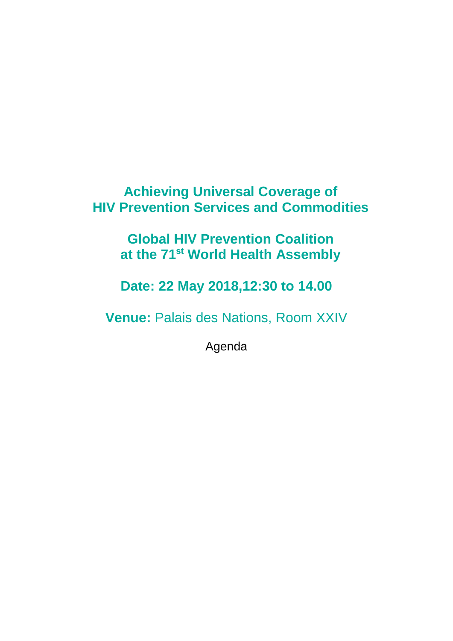## **Achieving Universal Coverage of HIV Prevention Services and Commodities**

**Global HIV Prevention Coalition at the 71st World Health Assembly**

**Date: 22 May 2018,12:30 to 14.00**

**Venue:** Palais des Nations, Room XXIV

Agenda